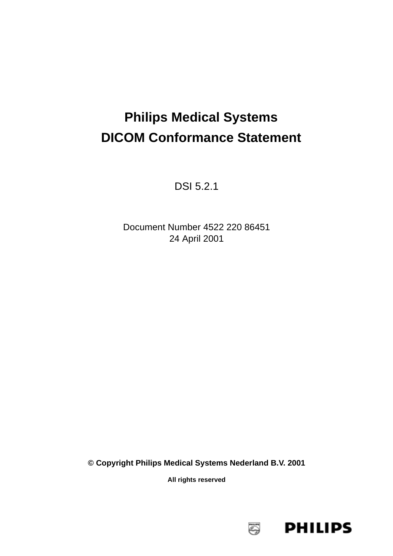# **Philips Medical Systems DICOM Conformance Statement**

DSI 5.2.1

Document Number 4522 220 86451 24 April 2001

**© Copyright Philips Medical Systems Nederland B.V. 2001**

**All rights reserved**

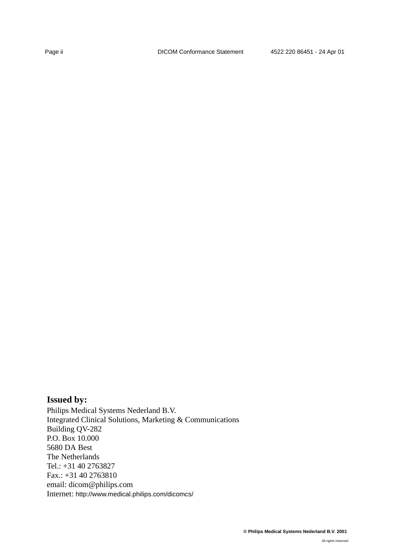# **Issued by:**

Philips Medical Systems Nederland B.V. Integrated Clinical Solutions, Marketing & Communications Building QV-282 P.O. Box 10.000 5680 DA Best The Netherlands Tel.: +31 40 2763827 Fax.: +31 40 2763810 email: dicom@philips.com Internet: http://www.medical.philips.com/dicomcs/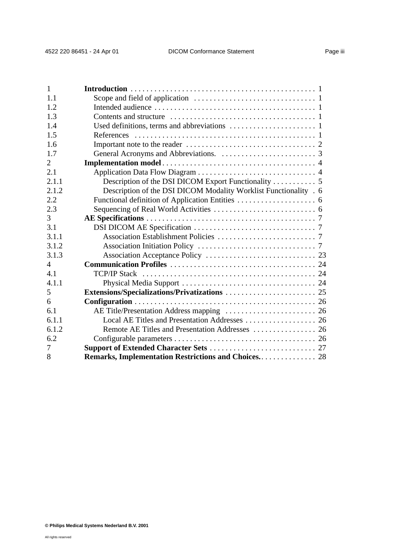| $\mathbf{1}$   |                                                                  |
|----------------|------------------------------------------------------------------|
| 1.1            |                                                                  |
| 1.2            |                                                                  |
| 1.3            |                                                                  |
| 1.4            |                                                                  |
| 1.5            |                                                                  |
| 1.6            |                                                                  |
| 1.7            |                                                                  |
| 2              |                                                                  |
| 2.1            |                                                                  |
| 2.1.1          |                                                                  |
| 2.1.2          | Description of the DSI DICOM Modality Worklist Functionality . 6 |
| 2.2            |                                                                  |
| 2.3            |                                                                  |
| 3              |                                                                  |
| 3.1            |                                                                  |
| 3.1.1          |                                                                  |
| 3.1.2          |                                                                  |
| 3.1.3          |                                                                  |
| $\overline{4}$ |                                                                  |
| 4.1            |                                                                  |
| 4.1.1          |                                                                  |
| 5              |                                                                  |
| 6              |                                                                  |
| 6.1            |                                                                  |
| 6.1.1          |                                                                  |
| 6.1.2          |                                                                  |
| 6.2            |                                                                  |
| 7              |                                                                  |
| 8              | Remarks, Implementation Restrictions and Choices 28              |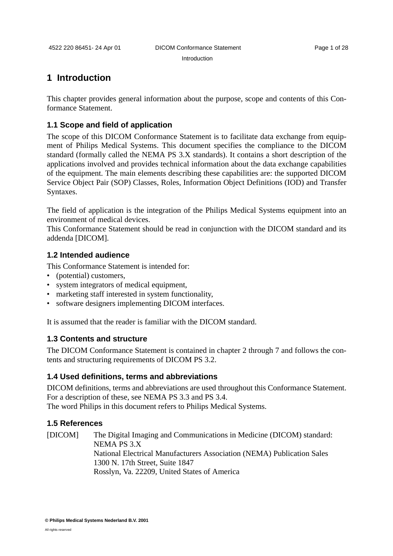Introduction

## <span id="page-4-0"></span>**1 Introduction**

This chapter provides general information about the purpose, scope and contents of this Conformance Statement.

### <span id="page-4-1"></span>**1.1 Scope and field of application**

The scope of this DICOM Conformance Statement is to facilitate data exchange from equipment of Philips Medical Systems. This document specifies the compliance to the DICOM standard (formally called the NEMA PS 3.X standards). It contains a short description of the applications involved and provides technical information about the data exchange capabilities of the equipment. The main elements describing these capabilities are: the supported DICOM Service Object Pair (SOP) Classes, Roles, Information Object Definitions (IOD) and Transfer Syntaxes.

The field of application is the integration of the Philips Medical Systems equipment into an environment of medical devices.

This Conformance Statement should be read in conjunction with the DICOM standard and its addenda [DICOM].

### <span id="page-4-2"></span>**1.2 Intended audience**

This Conformance Statement is intended for:

- (potential) customers,
- system integrators of medical equipment,
- marketing staff interested in system functionality,
- software designers implementing DICOM interfaces.

It is assumed that the reader is familiar with the DICOM standard.

### <span id="page-4-3"></span>**1.3 Contents and structure**

The DICOM Conformance Statement is contained in chapter 2 through 7 and follows the contents and structuring requirements of DICOM PS 3.2.

### <span id="page-4-4"></span>**1.4 Used definitions, terms and abbreviations**

DICOM definitions, terms and abbreviations are used throughout this Conformance Statement. For a description of these, see NEMA PS 3.3 and PS 3.4. The word Philips in this document refers to Philips Medical Systems.

### <span id="page-4-5"></span>**1.5 References**

[DICOM] The Digital Imaging and Communications in Medicine (DICOM) standard: NEMA PS 3.X National Electrical Manufacturers Association (NEMA) Publication Sales 1300 N. 17th Street, Suite 1847 Rosslyn, Va. 22209, United States of America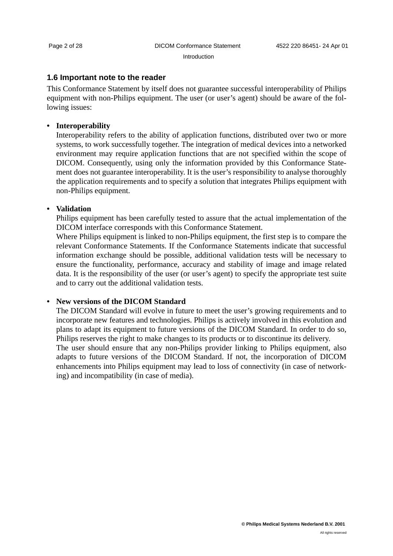#### Introduction

### <span id="page-5-0"></span>**1.6 Important note to the reader**

This Conformance Statement by itself does not guarantee successful interoperability of Philips equipment with non-Philips equipment. The user (or user's agent) should be aware of the following issues:

#### **• Interoperability**

Interoperability refers to the ability of application functions, distributed over two or more systems, to work successfully together. The integration of medical devices into a networked environment may require application functions that are not specified within the scope of DICOM. Consequently, using only the information provided by this Conformance Statement does not guarantee interoperability. It is the user's responsibility to analyse thoroughly the application requirements and to specify a solution that integrates Philips equipment with non-Philips equipment.

#### **• Validation**

Philips equipment has been carefully tested to assure that the actual implementation of the DICOM interface corresponds with this Conformance Statement.

Where Philips equipment is linked to non-Philips equipment, the first step is to compare the relevant Conformance Statements. If the Conformance Statements indicate that successful information exchange should be possible, additional validation tests will be necessary to ensure the functionality, performance, accuracy and stability of image and image related data. It is the responsibility of the user (or user's agent) to specify the appropriate test suite and to carry out the additional validation tests.

### **• New versions of the DICOM Standard**

The DICOM Standard will evolve in future to meet the user's growing requirements and to incorporate new features and technologies. Philips is actively involved in this evolution and plans to adapt its equipment to future versions of the DICOM Standard. In order to do so, Philips reserves the right to make changes to its products or to discontinue its delivery. The user should ensure that any non-Philips provider linking to Philips equipment, also adapts to future versions of the DICOM Standard. If not, the incorporation of DICOM enhancements into Philips equipment may lead to loss of connectivity (in case of networking) and incompatibility (in case of media).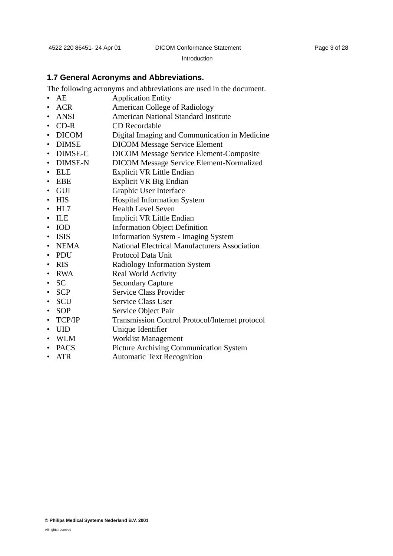Introduction

#### <span id="page-6-0"></span>**1.7 General Acronyms and Abbreviations.**

The following acronyms and abbreviations are used in the document.

- AE Application Entity
- ACR American College of Radiology
- ANSI American National Standard Institute
- CD-R CD Recordable
- DICOM Digital Imaging and Communication in Medicine
- DIMSE DICOM Message Service Element
- DIMSE-C DICOM Message Service Element-Composite
- DIMSE-N DICOM Message Service Element-Normalized
- ELE Explicit VR Little Endian
- EBE Explicit VR Big Endian
- GUI Graphic User Interface
- HIS Hospital Information System
- HL7 Health Level Seven
- ILE Implicit VR Little Endian
- IOD Information Object Definition
- ISIS Information System Imaging System
- NEMA National Electrical Manufacturers Association
- PDU Protocol Data Unit
- RIS Radiology Information System
- RWA Real World Activity
- SC Secondary Capture
- SCP Service Class Provider
- SCU Service Class User
- SOP Service Object Pair
- TCP/IP Transmission Control Protocol/Internet protocol
- UID Unique Identifier
- WLM Worklist Management
- PACS Picture Archiving Communication System
- ATR Automatic Text Recognition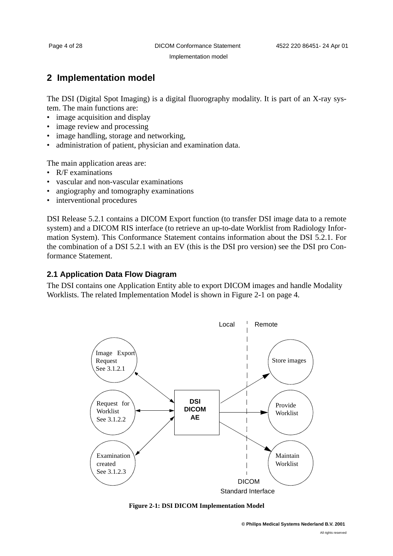Implementation model

# <span id="page-7-0"></span>**2 Implementation model**

The DSI (Digital Spot Imaging) is a digital fluorography modality. It is part of an X-ray system. The main functions are:

- image acquisition and display
- image review and processing
- image handling, storage and networking,
- administration of patient, physician and examination data.

The main application areas are:

- R/F examinations
- vascular and non-vascular examinations
- angiography and tomography examinations
- interventional procedures

DSI Release 5.2.1 contains a DICOM Export function (to transfer DSI image data to a remote system) and a DICOM RIS interface (to retrieve an up-to-date Worklist from Radiology Information System). This Conformance Statement contains information about the DSI 5.2.1. For the combination of a DSI 5.2.1 with an EV (this is the DSI pro version) see the DSI pro Conformance Statement.

### <span id="page-7-1"></span>**2.1 Application Data Flow Diagram**

The DSI contains one Application Entity able to export DICOM images and handle Modality Worklists. The related Implementation Model is shown in [Figure 2-1 on page 4.](#page-7-2)



#### <span id="page-7-2"></span>**Figure 2-1: DSI DICOM Implementation Model**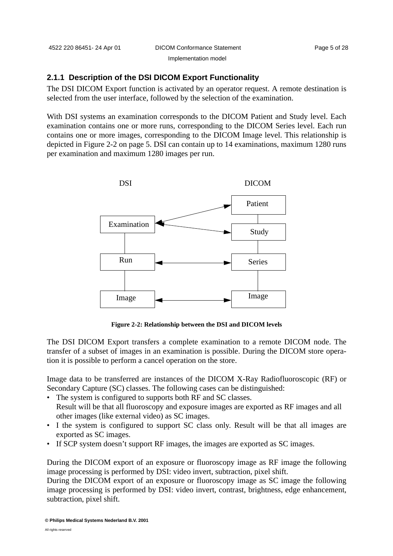#### <span id="page-8-0"></span>**2.1.1 Description of the DSI DICOM Export Functionality**

The DSI DICOM Export function is activated by an operator request. A remote destination is selected from the user interface, followed by the selection of the examination.

With DSI systems an examination corresponds to the DICOM Patient and Study level. Each examination contains one or more runs, corresponding to the DICOM Series level. Each run contains one or more images, corresponding to the DICOM Image level. This relationship is depicted in [Figure 2-2 on page 5.](#page-8-1) DSI can contain up to 14 examinations, maximum 1280 runs per examination and maximum 1280 images per run.



**Figure 2-2: Relationship between the DSI and DICOM levels** 

<span id="page-8-1"></span>The DSI DICOM Export transfers a complete examination to a remote DICOM node. The transfer of a subset of images in an examination is possible. During the DICOM store operation it is possible to perform a cancel operation on the store.

Image data to be transferred are instances of the DICOM X-Ray Radiofluoroscopic (RF) or Secondary Capture (SC) classes. The following cases can be distinguished:

- The system is configured to supports both RF and SC classes. Result will be that all fluoroscopy and exposure images are exported as RF images and all other images (like external video) as SC images.
- I the system is configured to support SC class only. Result will be that all images are exported as SC images.
- If SCP system doesn't support RF images, the images are exported as SC images.

During the DICOM export of an exposure or fluoroscopy image as RF image the following image processing is performed by DSI: video invert, subtraction, pixel shift.

During the DICOM export of an exposure or fluoroscopy image as SC image the following image processing is performed by DSI: video invert, contrast, brightness, edge enhancement, subtraction, pixel shift.

**© Philips Medical Systems Nederland B.V. 2001**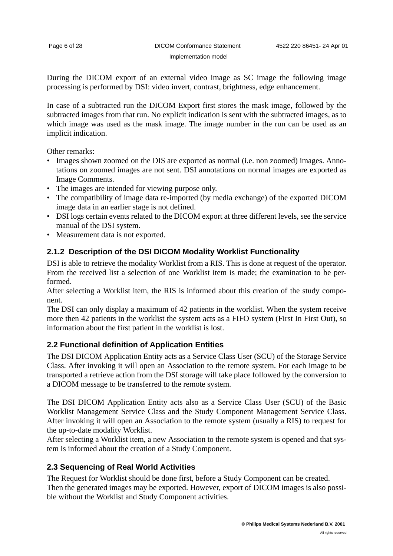During the DICOM export of an external video image as SC image the following image processing is performed by DSI: video invert, contrast, brightness, edge enhancement.

In case of a subtracted run the DICOM Export first stores the mask image, followed by the subtracted images from that run. No explicit indication is sent with the subtracted images, as to which image was used as the mask image. The image number in the run can be used as an implicit indication.

Other remarks:

- Images shown zoomed on the DIS are exported as normal (i.e. non zoomed) images. Annotations on zoomed images are not sent. DSI annotations on normal images are exported as Image Comments.
- The images are intended for viewing purpose only.
- The compatibility of image data re-imported (by media exchange) of the exported DICOM image data in an earlier stage is not defined.
- DSI logs certain events related to the DICOM export at three different levels, see the service manual of the DSI system.
- Measurement data is not exported.

### <span id="page-9-0"></span>**2.1.2 Description of the DSI DICOM Modality Worklist Functionality**

DSI is able to retrieve the modality Worklist from a RIS. This is done at request of the operator. From the received list a selection of one Worklist item is made; the examination to be performed.

After selecting a Worklist item, the RIS is informed about this creation of the study component.

The DSI can only display a maximum of 42 patients in the worklist. When the system receive more then 42 patients in the worklist the system acts as a FIFO system (First In First Out), so information about the first patient in the worklist is lost.

### <span id="page-9-1"></span>**2.2 Functional definition of Application Entities**

The DSI DICOM Application Entity acts as a Service Class User (SCU) of the Storage Service Class. After invoking it will open an Association to the remote system. For each image to be transported a retrieve action from the DSI storage will take place followed by the conversion to a DICOM message to be transferred to the remote system.

The DSI DICOM Application Entity acts also as a Service Class User (SCU) of the Basic Worklist Management Service Class and the Study Component Management Service Class. After invoking it will open an Association to the remote system (usually a RIS) to request for the up-to-date modality Worklist.

After selecting a Worklist item, a new Association to the remote system is opened and that system is informed about the creation of a Study Component.

### <span id="page-9-2"></span>**2.3 Sequencing of Real World Activities**

The Request for Worklist should be done first, before a Study Component can be created. Then the generated images may be exported. However, export of DICOM images is also possible without the Worklist and Study Component activities.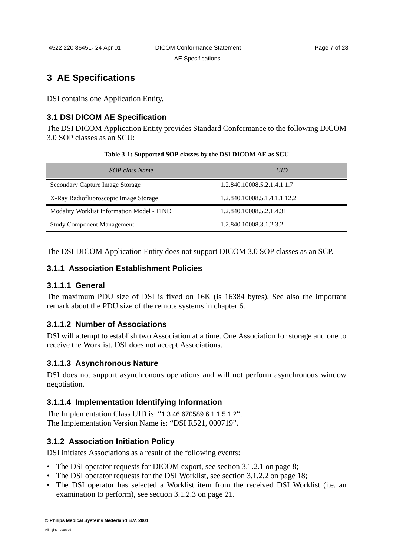AE Specifications

# <span id="page-10-0"></span>**3 AE Specifications**

DSI contains one Application Entity.

### <span id="page-10-1"></span>**3.1 DSI DICOM AE Specification**

The DSI DICOM Application Entity provides Standard Conformance to the following DICOM 3.0 SOP classes as an SCU:

#### **Table 3-1: Supported SOP classes by the DSI DICOM AE as SCU**

| SOP class Name                             | <b>UID</b>                   |
|--------------------------------------------|------------------------------|
| Secondary Capture Image Storage            | 1.2.840.10008.5.2.1.4.1.1.7  |
| X-Ray Radiofluoroscopic Image Storage      | 1.2.840.10008.5.1.4.1.1.12.2 |
| Modality Worklist Information Model - FIND | 1.2.840.10008.5.2.1.4.31     |
| <b>Study Component Management</b>          | 1.2.840.10008.3.1.2.3.2      |

The DSI DICOM Application Entity does not support DICOM 3.0 SOP classes as an SCP.

### <span id="page-10-2"></span>**3.1.1 Association Establishment Policies**

### **3.1.1.1 General**

The maximum PDU size of DSI is fixed on 16K (is 16384 bytes). See also the important remark about the PDU size of the remote systems in chapter 6.

### **3.1.1.2 Number of Associations**

DSI will attempt to establish two Association at a time. One Association for storage and one to receive the Worklist. DSI does not accept Associations.

### **3.1.1.3 Asynchronous Nature**

DSI does not support asynchronous operations and will not perform asynchronous window negotiation.

### **3.1.1.4 Implementation Identifying Information**

The Implementation Class UID is: "1.3.46.670589.6.1.1.5.1.2". The Implementation Version Name is: "DSI R521, 000719".

### <span id="page-10-3"></span>**3.1.2 Association Initiation Policy**

DSI initiates Associations as a result of the following events:

- The DSI operator requests for DICOM export, see section 3.1.2.1 on page 8;
- The DSI operator requests for the DSI Worklist, see section 3.1.2.2 on page 18;
- The DSI operator has selected a Worklist item from the received DSI Worklist (i.e. an examination to perform), see section 3.1.2.3 on page 21.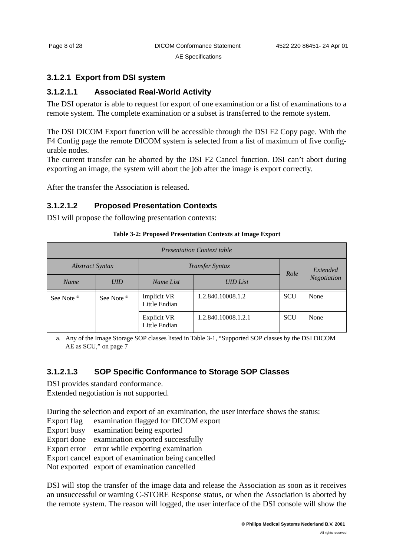### AE Specifications

### <span id="page-11-0"></span>**3.1.2.1 Export from DSI system**

### **3.1.2.1.1 Associated Real-World Activity**

The DSI operator is able to request for export of one examination or a list of examinations to a remote system. The complete examination or a subset is transferred to the remote system.

The DSI DICOM Export function will be accessible through the DSI F2 Copy page. With the F4 Config page the remote DICOM system is selected from a list of maximum of five configurable nodes.

The current transfer can be aborted by the DSI F2 Cancel function. DSI can't abort during exporting an image, the system will abort the job after the image is export correctly.

After the transfer the Association is released.

### **3.1.2.1.2 Proposed Presentation Contexts**

DSI will propose the following presentation contexts:

#### **Table 3-2: Proposed Presentation Contexts at Image Export**

| <b>Presentation Context table</b> |                       |                                     |                     |            |             |
|-----------------------------------|-----------------------|-------------------------------------|---------------------|------------|-------------|
| <b>Abstract Syntax</b>            |                       | Transfer Syntax                     |                     | Role       | Extended    |
| Name                              | <b>UID</b>            | <b>UID</b> List<br>Name List        |                     |            | Negotiation |
| See Note <sup>a</sup>             | See Note <sup>a</sup> | <b>Implicit VR</b><br>Little Endian | 1.2.840.10008.1.2   | <b>SCU</b> | None        |
|                                   |                       | <b>Explicit VR</b><br>Little Endian | 1.2.840.10008.1.2.1 | <b>SCU</b> | None        |

a. Any of the Image Storage SOP classes listed in Table 3-1, "Supported SOP classes by the DSI DICOM AE as SCU," on page 7

### **3.1.2.1.3 SOP Specific Conformance to Storage SOP Classes**

DSI provides standard conformance. Extended negotiation is not supported.

During the selection and export of an examination, the user interface shows the status:

Export flag examination flagged for DICOM export

Export busy examination being exported

Export done examination exported successfully

Export error error while exporting examination

Export cancel export of examination being cancelled

Not exported export of examination cancelled

DSI will stop the transfer of the image data and release the Association as soon as it receives an unsuccessful or warning C-STORE Response status, or when the Association is aborted by the remote system. The reason will logged, the user interface of the DSI console will show the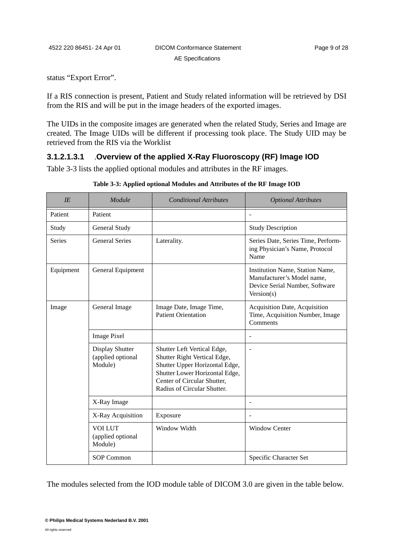status "Export Error".

If a RIS connection is present, Patient and Study related information will be retrieved by DSI from the RIS and will be put in the image headers of the exported images.

The UIDs in the composite images are generated when the related Study, Series and Image are created. The Image UIDs will be different if processing took place. The Study UID may be retrieved from the RIS via the Worklist

### **3.1.2.1.3.1** .**Overview of the applied X-Ray Fluoroscopy (RF) Image IOD**

Table 3-3 lists the applied optional modules and attributes in the RF images.

| IE        | Module                                          | <b>Conditional Attributes</b>                                                                                                                                                                 | <b>Optional Attributes</b>                                                                                    |
|-----------|-------------------------------------------------|-----------------------------------------------------------------------------------------------------------------------------------------------------------------------------------------------|---------------------------------------------------------------------------------------------------------------|
| Patient   | Patient                                         |                                                                                                                                                                                               | $\overline{\phantom{m}}$                                                                                      |
| Study     | General Study                                   |                                                                                                                                                                                               | <b>Study Description</b>                                                                                      |
| Series    | <b>General Series</b>                           | Laterality.                                                                                                                                                                                   | Series Date, Series Time, Perform-<br>ing Physician's Name, Protocol<br>Name                                  |
| Equipment | General Equipment                               |                                                                                                                                                                                               | Institution Name, Station Name,<br>Manufacturer's Model name,<br>Device Serial Number, Software<br>Version(s) |
| Image     | General Image                                   | Image Date, Image Time,<br><b>Patient Orientation</b>                                                                                                                                         | Acquisition Date, Acquisition<br>Time, Acquisition Number, Image<br>Comments                                  |
|           | <b>Image Pixel</b>                              |                                                                                                                                                                                               | ÷                                                                                                             |
|           | Display Shutter<br>(applied optional<br>Module) | Shutter Left Vertical Edge,<br>Shutter Right Vertical Edge,<br>Shutter Upper Horizontal Edge,<br>Shutter Lower Horizontal Edge,<br>Center of Circular Shutter,<br>Radius of Circular Shutter. | ä,                                                                                                            |
|           | X-Ray Image                                     |                                                                                                                                                                                               |                                                                                                               |
|           | X-Ray Acquisition                               | Exposure                                                                                                                                                                                      |                                                                                                               |
|           | <b>VOI LUT</b><br>(applied optional<br>Module)  | Window Width                                                                                                                                                                                  | <b>Window Center</b>                                                                                          |
|           | <b>SOP Common</b>                               |                                                                                                                                                                                               | Specific Character Set                                                                                        |

**Table 3-3: Applied optional Modules and Attributes of the RF Image IOD**

The modules selected from the IOD module table of DICOM 3.0 are given in the table below.

All rights reserved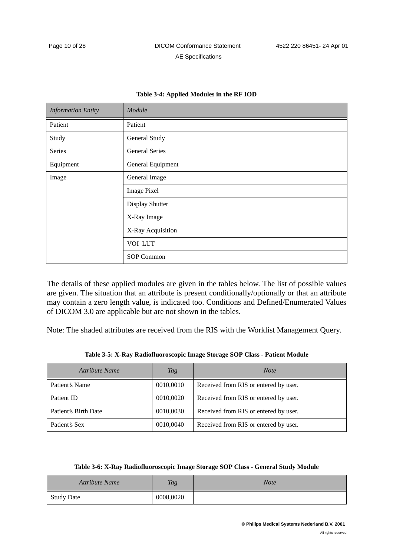| <b>Information Entity</b> | Module                |
|---------------------------|-----------------------|
| Patient                   | Patient               |
| Study                     | General Study         |
| Series                    | <b>General Series</b> |
| Equipment                 | General Equipment     |
| Image                     | General Image         |
|                           | <b>Image Pixel</b>    |
|                           | Display Shutter       |
|                           | X-Ray Image           |
|                           | X-Ray Acquisition     |
|                           | VOI LUT               |
|                           | SOP Common            |

#### **Table 3-4: Applied Modules in the RF IOD**

The details of these applied modules are given in the tables below. The list of possible values are given. The situation that an attribute is present conditionally/optionally or that an attribute may contain a zero length value, is indicated too. Conditions and Defined/Enumerated Values of DICOM 3.0 are applicable but are not shown in the tables.

Note: The shaded attributes are received from the RIS with the Worklist Management Query.

|  |  | Table 3-5: X-Ray Radiofluoroscopic Image Storage SOP Class - Patient Module |  |  |
|--|--|-----------------------------------------------------------------------------|--|--|
|  |  |                                                                             |  |  |

<span id="page-13-0"></span>

| Attribute Name       | Tag       | <b>Note</b>                           |
|----------------------|-----------|---------------------------------------|
| Patient's Name       | 0010,0010 | Received from RIS or entered by user. |
| Patient ID           | 0010,0020 | Received from RIS or entered by user. |
| Patient's Birth Date | 0010,0030 | Received from RIS or entered by user. |
| Patient's Sex        | 0010,0040 | Received from RIS or entered by user. |

| Table 3-6: X-Ray Radiofluoroscopic Image Storage SOP Class - General Study Module |  |
|-----------------------------------------------------------------------------------|--|
|                                                                                   |  |

<span id="page-13-1"></span>

| <b>Attribute Name</b> | <b>Tag</b> | Note |
|-----------------------|------------|------|
| <b>Study Date</b>     | 0008,0020  |      |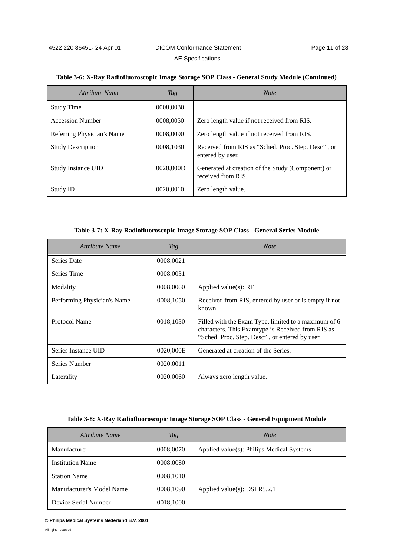| Attribute Name             | <b>Tag</b> | <b>Note</b>                                                             |
|----------------------------|------------|-------------------------------------------------------------------------|
| <b>Study Time</b>          | 0008,0030  |                                                                         |
| <b>Accession Number</b>    | 0008,0050  | Zero length value if not received from RIS.                             |
| Referring Physician's Name | 0008,0090  | Zero length value if not received from RIS.                             |
| <b>Study Description</b>   | 0008,1030  | Received from RIS as "Sched. Proc. Step. Desc", or<br>entered by user.  |
| <b>Study Instance UID</b>  | 0020,000D  | Generated at creation of the Study (Component) or<br>received from RIS. |

#### **Table 3-6: X-Ray Radiofluoroscopic Image Storage SOP Class - General Study Module (Continued)**

#### **Table 3-7: X-Ray Radiofluoroscopic Image Storage SOP Class - General Series Module**

Study ID 0020,0010 Zero length value.

<span id="page-14-1"></span>

| Attribute Name              | Tag       | <b>Note</b>                                                                                                                                                 |
|-----------------------------|-----------|-------------------------------------------------------------------------------------------------------------------------------------------------------------|
| Series Date                 | 0008,0021 |                                                                                                                                                             |
| Series Time                 | 0008,0031 |                                                                                                                                                             |
| Modality                    | 0008,0060 | Applied value $(s)$ : RF                                                                                                                                    |
| Performing Physician's Name | 0008,1050 | Received from RIS, entered by user or is empty if not<br>known.                                                                                             |
| Protocol Name               | 0018,1030 | Filled with the Exam Type, limited to a maximum of 6<br>characters. This Examtype is Received from RIS as<br>"Sched. Proc. Step. Desc", or entered by user. |
| Series Instance UID         | 0020,000E | Generated at creation of the Series.                                                                                                                        |
| Series Number               | 0020,0011 |                                                                                                                                                             |
| Laterality                  | 0020,0060 | Always zero length value.                                                                                                                                   |

#### **Table 3-8: X-Ray Radiofluoroscopic Image Storage SOP Class - General Equipment Module**

<span id="page-14-0"></span>

| Attribute Name            | Tag       | <b>Note</b>                               |
|---------------------------|-----------|-------------------------------------------|
| Manufacturer              | 0008,0070 | Applied value(s): Philips Medical Systems |
| <b>Institution Name</b>   | 0008,0080 |                                           |
| <b>Station Name</b>       | 0008,1010 |                                           |
| Manufacturer's Model Name | 0008,1090 | Applied value(s): DSI $R5.2.1$            |
| Device Serial Number      | 0018,1000 |                                           |

#### **© Philips Medical Systems Nederland B.V. 2001**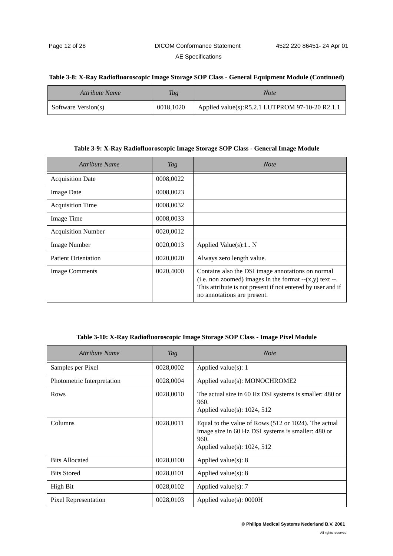#### **Table 3-8: X-Ray Radiofluoroscopic Image Storage SOP Class - General Equipment Module (Continued)**

| Attribute Name      | Tag       | <i>Note</i>                                     |
|---------------------|-----------|-------------------------------------------------|
| Software Version(s) | 0018,1020 | Applied value(s):R5.2.1 LUTPROM 97-10-20 R2.1.1 |

#### **Table 3-9: X-Ray Radiofluoroscopic Image Storage SOP Class - General Image Module**

| Attribute Name             | Tag       | <b>Note</b>                                                                                                                                                                                                 |
|----------------------------|-----------|-------------------------------------------------------------------------------------------------------------------------------------------------------------------------------------------------------------|
| <b>Acquisition Date</b>    | 0008,0022 |                                                                                                                                                                                                             |
| <b>Image Date</b>          | 0008,0023 |                                                                                                                                                                                                             |
| <b>Acquisition Time</b>    | 0008,0032 |                                                                                                                                                                                                             |
| Image Time                 | 0008,0033 |                                                                                                                                                                                                             |
| <b>Acquisition Number</b>  | 0020,0012 |                                                                                                                                                                                                             |
| Image Number               | 0020,0013 | Applied Value $(s)$ :1 N                                                                                                                                                                                    |
| <b>Patient Orientation</b> | 0020,0020 | Always zero length value.                                                                                                                                                                                   |
| <b>Image Comments</b>      | 0020,4000 | Contains also the DSI image annotations on normal<br>(i.e. non zoomed) images in the format $-(x,y)$ text --.<br>This attribute is not present if not entered by user and if<br>no annotations are present. |

#### **Table 3-10: X-Ray Radiofluoroscopic Image Storage SOP Class - Image Pixel Module**

| Attribute Name             | Tag       | <b>Note</b>                                                                                                                                          |  |
|----------------------------|-----------|------------------------------------------------------------------------------------------------------------------------------------------------------|--|
| Samples per Pixel          | 0028,0002 | Applied value $(s)$ : 1                                                                                                                              |  |
| Photometric Interpretation | 0028,0004 | Applied value(s): MONOCHROME2                                                                                                                        |  |
| Rows                       | 0028,0010 | The actual size in 60 Hz DSI systems is smaller: 480 or<br>960.<br>Applied value(s): $1024$ , $512$                                                  |  |
| Columns                    | 0028,0011 | Equal to the value of Rows (512 or 1024). The actual<br>image size in 60 Hz DSI systems is smaller: 480 or<br>960.<br>Applied value(s): $1024$ , 512 |  |
| <b>Bits Allocated</b>      | 0028,0100 | Applied value(s): $8$                                                                                                                                |  |
| <b>Bits Stored</b>         | 0028,0101 | Applied value(s): $8$                                                                                                                                |  |
| High Bit                   | 0028,0102 | Applied value $(s)$ : 7                                                                                                                              |  |
| Pixel Representation       | 0028,0103 | Applied value $(s)$ : 0000H                                                                                                                          |  |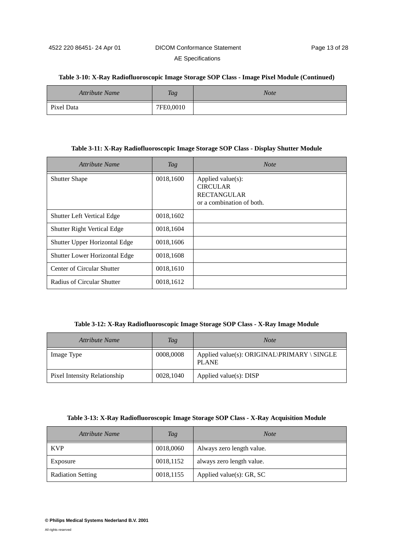#### **Table 3-10: X-Ray Radiofluoroscopic Image Storage SOP Class - Image Pixel Module (Continued)**

| <b>Attribute Name</b> | Tag       | <b>Note</b> |
|-----------------------|-----------|-------------|
| Pixel Data            | 7FE0,0010 |             |

#### **Table 3-11: X-Ray Radiofluoroscopic Image Storage SOP Class - Display Shutter Module**

| Attribute Name                     | Tag       | <b>Note</b>                                                                             |
|------------------------------------|-----------|-----------------------------------------------------------------------------------------|
| <b>Shutter Shape</b>               | 0018,1600 | Applied value(s):<br><b>CIRCULAR</b><br><b>RECTANGULAR</b><br>or a combination of both. |
| <b>Shutter Left Vertical Edge</b>  | 0018,1602 |                                                                                         |
| <b>Shutter Right Vertical Edge</b> | 0018,1604 |                                                                                         |
| Shutter Upper Horizontal Edge      | 0018,1606 |                                                                                         |
| Shutter Lower Horizontal Edge      | 0018,1608 |                                                                                         |
| Center of Circular Shutter         | 0018,1610 |                                                                                         |
| Radius of Circular Shutter         | 0018,1612 |                                                                                         |

#### **Table 3-12: X-Ray Radiofluoroscopic Image Storage SOP Class - X-Ray Image Module**

| Attribute Name               | <b>Tag</b> | <b>Note</b>                                                 |
|------------------------------|------------|-------------------------------------------------------------|
| Image Type                   | 0008,0008  | Applied value(s): ORIGINAL\PRIMARY \ SINGLE<br><b>PLANE</b> |
| Pixel Intensity Relationship | 0028,1040  | Applied value $(s)$ : DISP                                  |

#### **Table 3-13: X-Ray Radiofluoroscopic Image Storage SOP Class - X-Ray Acquisition Module**

| Attribute Name           | <b>Tag</b> | <b>Note</b>                  |  |
|--------------------------|------------|------------------------------|--|
| <b>KVP</b>               | 0018,0060  | Always zero length value.    |  |
| Exposure                 | 0018,1152  | always zero length value.    |  |
| <b>Radiation Setting</b> | 0018,1155  | Applied value $(s)$ : GR, SC |  |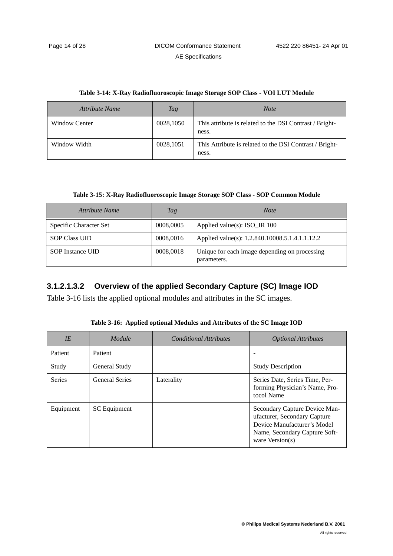| Attribute Name       | Tag       | <b>Note</b>                                                      |
|----------------------|-----------|------------------------------------------------------------------|
| <b>Window Center</b> | 0028,1050 | This attribute is related to the DSI Contrast / Bright-<br>ness. |
| Window Width         | 0028,1051 | This Attribute is related to the DSI Contrast / Bright-<br>ness. |

| Table 3-14: X-Ray Radiofluoroscopic Image Storage SOP Class - VOI LUT Module |  |  |  |
|------------------------------------------------------------------------------|--|--|--|
|                                                                              |  |  |  |

**Table 3-15: X-Ray Radiofluoroscopic Image Storage SOP Class - SOP Common Module**

| Attribute Name                | Tag       | <b>Note</b>                                                  |  |
|-------------------------------|-----------|--------------------------------------------------------------|--|
| <b>Specific Character Set</b> | 0008,0005 | Applied value(s): $ISO_R 100$                                |  |
| <b>SOP Class UID</b>          | 0008,0016 | Applied value(s): 1.2.840.10008.5.1.4.1.1.12.2               |  |
| <b>SOP</b> Instance UID       | 0008,0018 | Unique for each image depending on processing<br>parameters. |  |

### **3.1.2.1.3.2 Overview of the applied Secondary Capture (SC) Image IOD**

Table 3-16 lists the applied optional modules and attributes in the SC images.

| IE            | Module                | <b>Conditional Attributes</b> | <b>Optional Attributes</b>                                                                                                                           |
|---------------|-----------------------|-------------------------------|------------------------------------------------------------------------------------------------------------------------------------------------------|
| Patient       | Patient               |                               |                                                                                                                                                      |
| Study         | General Study         |                               | <b>Study Description</b>                                                                                                                             |
| <b>Series</b> | <b>General Series</b> | Laterality                    | Series Date, Series Time, Per-<br>forming Physician's Name, Pro-<br>tocol Name                                                                       |
| Equipment     | SC Equipment          |                               | Secondary Capture Device Man-<br>ufacturer, Secondary Capture<br>Device Manufacturer's Model<br>Name, Secondary Capture Soft-<br>ware Version( $s$ ) |

**Table 3-16: Applied optional Modules and Attributes of the SC Image IOD**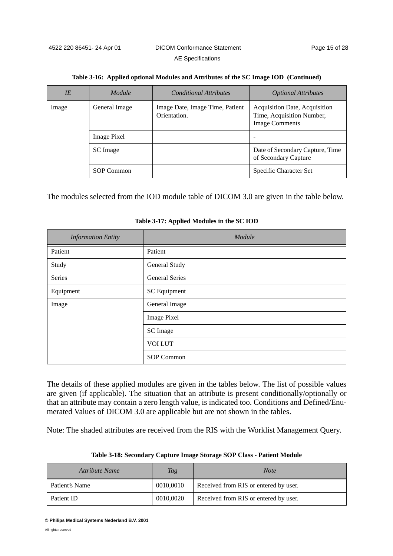| IE    | Module        | <b>Conditional Attributes</b>                   | <i><b>Optional Attributes</b></i>                                                   |
|-------|---------------|-------------------------------------------------|-------------------------------------------------------------------------------------|
| Image | General Image | Image Date, Image Time, Patient<br>Orientation. | Acquisition Date, Acquisition<br>Time, Acquisition Number,<br><b>Image Comments</b> |
|       | Image Pixel   |                                                 |                                                                                     |
|       | SC Image      |                                                 | Date of Secondary Capture, Time<br>of Secondary Capture                             |
|       | SOP Common    |                                                 | Specific Character Set                                                              |

| Table 3-16: Applied optional Modules and Attributes of the SC Image IOD (Continued) |  |  |  |
|-------------------------------------------------------------------------------------|--|--|--|
|                                                                                     |  |  |  |

The modules selected from the IOD module table of DICOM 3.0 are given in the table below.

| <b>Information Entity</b> | Module                |
|---------------------------|-----------------------|
| Patient                   | Patient               |
| Study                     | General Study         |
| Series                    | <b>General Series</b> |
| Equipment                 | <b>SC</b> Equipment   |
| Image                     | General Image         |
|                           | <b>Image Pixel</b>    |
|                           | <b>SC</b> Image       |
|                           | <b>VOI LUT</b>        |
|                           | SOP Common            |

**Table 3-17: Applied Modules in the SC IOD**

The details of these applied modules are given in the tables below. The list of possible values are given (if applicable). The situation that an attribute is present conditionally/optionally or that an attribute may contain a zero length value, is indicated too. Conditions and Defined/Enumerated Values of DICOM 3.0 are applicable but are not shown in the tables.

Note: The shaded attributes are received from the RIS with the Worklist Management Query.

<span id="page-18-0"></span>

| Attribute Name | Tag       | <b>Note</b>                           |
|----------------|-----------|---------------------------------------|
| Patient's Name | 0010,0010 | Received from RIS or entered by user. |
| Patient ID     | 0010,0020 | Received from RIS or entered by user. |

**Table 3-18: Secondary Capture Image Storage SOP Class - Patient Module**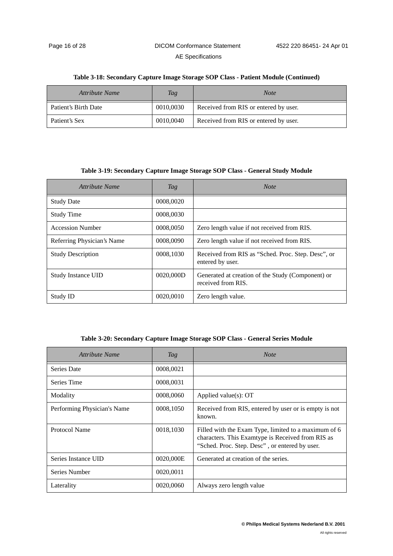#### **Table 3-18: Secondary Capture Image Storage SOP Class - Patient Module (Continued)**

| Attribute Name       | Tag       | <b>Note</b>                           |
|----------------------|-----------|---------------------------------------|
| Patient's Birth Date | 0010,0030 | Received from RIS or entered by user. |
| Patient's Sex        | 0010,0040 | Received from RIS or entered by user. |

#### **Table 3-19: Secondary Capture Image Storage SOP Class - General Study Module**

<span id="page-19-0"></span>

| Attribute Name             | Tag       | <b>Note</b>                                                             |
|----------------------------|-----------|-------------------------------------------------------------------------|
| <b>Study Date</b>          | 0008,0020 |                                                                         |
| <b>Study Time</b>          | 0008,0030 |                                                                         |
| <b>Accession Number</b>    | 0008,0050 | Zero length value if not received from RIS.                             |
| Referring Physician's Name | 0008,0090 | Zero length value if not received from RIS.                             |
| <b>Study Description</b>   | 0008,1030 | Received from RIS as "Sched. Proc. Step. Desc", or<br>entered by user.  |
| <b>Study Instance UID</b>  | 0020,000D | Generated at creation of the Study (Component) or<br>received from RIS. |
| Study ID                   | 0020,0010 | Zero length value.                                                      |

#### **Table 3-20: Secondary Capture Image Storage SOP Class - General Series Module**

<span id="page-19-1"></span>

| Attribute Name              | Tag       | <b>Note</b>                                                                                                                                                 |
|-----------------------------|-----------|-------------------------------------------------------------------------------------------------------------------------------------------------------------|
| Series Date                 | 0008,0021 |                                                                                                                                                             |
| Series Time                 | 0008,0031 |                                                                                                                                                             |
| Modality                    | 0008,0060 | Applied value $(s)$ : OT                                                                                                                                    |
| Performing Physician's Name | 0008,1050 | Received from RIS, entered by user or is empty is not<br>known.                                                                                             |
| Protocol Name               | 0018,1030 | Filled with the Exam Type, limited to a maximum of 6<br>characters. This Examtype is Received from RIS as<br>"Sched. Proc. Step. Desc", or entered by user. |
| Series Instance UID         | 0020,000E | Generated at creation of the series.                                                                                                                        |
| Series Number               | 0020,0011 |                                                                                                                                                             |
| Laterality                  | 0020,0060 | Always zero length value                                                                                                                                    |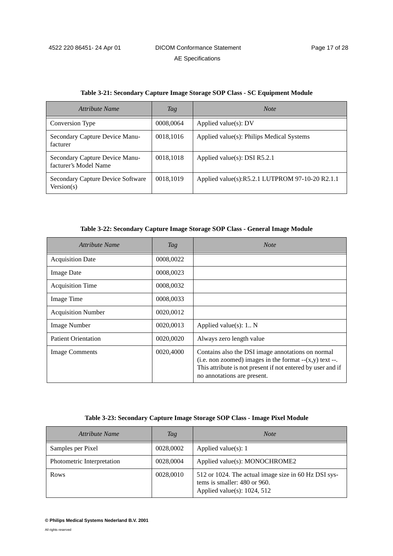| Attribute Name                                          | <i>Tag</i> | <b>Note</b>                                     |
|---------------------------------------------------------|------------|-------------------------------------------------|
| Conversion Type                                         | 0008,0064  | Applied value $(s)$ : DV                        |
| Secondary Capture Device Manu-<br>facturer              | 0018,1016  | Applied value(s): Philips Medical Systems       |
| Secondary Capture Device Manu-<br>facturer's Model Name | 0018,1018  | Applied value(s): DSI $R5.2.1$                  |
| Secondary Capture Device Software<br>Version(s)         | 0018,1019  | Applied value(s):R5.2.1 LUTPROM 97-10-20 R2.1.1 |

**Table 3-22: Secondary Capture Image Storage SOP Class - General Image Module**

| Attribute Name             | Tag       | <b>Note</b>                                                                                                                                                                                                 |
|----------------------------|-----------|-------------------------------------------------------------------------------------------------------------------------------------------------------------------------------------------------------------|
| <b>Acquisition Date</b>    | 0008,0022 |                                                                                                                                                                                                             |
| <b>Image Date</b>          | 0008,0023 |                                                                                                                                                                                                             |
| <b>Acquisition Time</b>    | 0008,0032 |                                                                                                                                                                                                             |
| Image Time                 | 0008,0033 |                                                                                                                                                                                                             |
| <b>Acquisition Number</b>  | 0020,0012 |                                                                                                                                                                                                             |
| <b>Image Number</b>        | 0020,0013 | Applied value $(s)$ : 1 N                                                                                                                                                                                   |
| <b>Patient Orientation</b> | 0020,0020 | Always zero length value                                                                                                                                                                                    |
| <b>Image Comments</b>      | 0020,4000 | Contains also the DSI image annotations on normal<br>(i.e. non zoomed) images in the format $-(x,y)$ text --.<br>This attribute is not present if not entered by user and if<br>no annotations are present. |

#### **Table 3-23: Secondary Capture Image Storage SOP Class - Image Pixel Module**

| Attribute Name             | Tag       | <b>Note</b>                                                                                                            |
|----------------------------|-----------|------------------------------------------------------------------------------------------------------------------------|
| Samples per Pixel          | 0028,0002 | Applied value(s): $1$                                                                                                  |
| Photometric Interpretation | 0028,0004 | Applied value(s): MONOCHROME2                                                                                          |
| Rows                       | 0028,0010 | 512 or 1024. The actual image size in 60 Hz DSI sys-<br>tems is smaller: 480 or 960.<br>Applied value(s): $1024$ , 512 |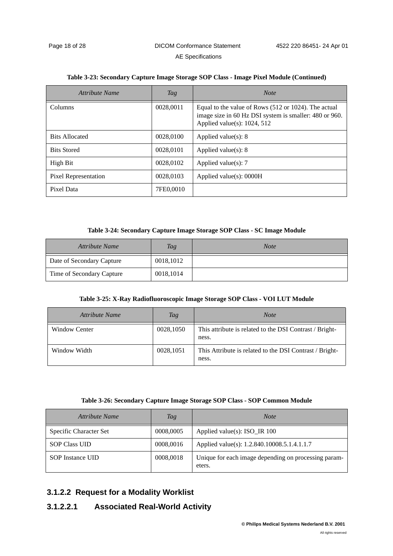| Attribute Name        | <b>Tag</b> | <b>Note</b>                                                                                                                                      |
|-----------------------|------------|--------------------------------------------------------------------------------------------------------------------------------------------------|
| <b>Columns</b>        | 0028,0011  | Equal to the value of Rows (512 or 1024). The actual<br>image size in 60 Hz DSI system is smaller: 480 or 960.<br>Applied value(s): $1024$ , 512 |
| <b>Bits Allocated</b> | 0028,0100  | Applied value(s): $8$                                                                                                                            |
| <b>Bits Stored</b>    | 0028,0101  | Applied value $(s)$ : 8                                                                                                                          |
| High Bit              | 0028,0102  | Applied value(s): $7$                                                                                                                            |
| Pixel Representation  | 0028,0103  | Applied value(s): 0000H                                                                                                                          |
| Pixel Data            | 7FE0,0010  |                                                                                                                                                  |

#### **Table 3-23: Secondary Capture Image Storage SOP Class - Image Pixel Module (Continued)**

#### **Table 3-24: Secondary Capture Image Storage SOP Class - SC Image Module**

| Attribute Name            | Tag       | <b>Note</b> |
|---------------------------|-----------|-------------|
| Date of Secondary Capture | 0018,1012 |             |
| Time of Secondary Capture | 0018,1014 |             |

#### **Table 3-25: X-Ray Radiofluoroscopic Image Storage SOP Class - VOI LUT Module**

| Attribute Name       | Tag       | <b>Note</b>                                                      |
|----------------------|-----------|------------------------------------------------------------------|
| <b>Window Center</b> | 0028,1050 | This attribute is related to the DSI Contrast / Bright-<br>ness. |
| Window Width         | 0028,1051 | This Attribute is related to the DSI Contrast / Bright-<br>ness. |

#### **Table 3-26: Secondary Capture Image Storage SOP Class - SOP Common Module**

| Attribute Name          | Tag       | <b>Note</b>                                                    |
|-------------------------|-----------|----------------------------------------------------------------|
| Specific Character Set  | 0008,0005 | Applied value(s): $ISO$ IR 100                                 |
| <b>SOP Class UID</b>    | 0008,0016 | Applied value(s): 1.2.840.10008.5.1.4.1.1.7                    |
| <b>SOP</b> Instance UID | 0008,0018 | Unique for each image depending on processing param-<br>eters. |

### <span id="page-21-0"></span>**3.1.2.2 Request for a Modality Worklist**

### **3.1.2.2.1 Associated Real-World Activity**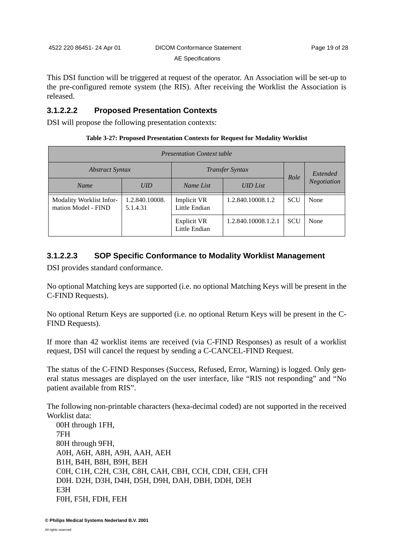This DSI function will be triggered at request of the operator. An Association will be set-up to the pre-configured remote system (the RIS). After receiving the Worklist the Association is released.

### **3.1.2.2.2 Proposed Presentation Contexts**

DSI will propose the following presentation contexts:

| Table 3-27: Proposed Presentation Contexts for Request for Modality Worklist |  |  |
|------------------------------------------------------------------------------|--|--|
|------------------------------------------------------------------------------|--|--|

| <b>Presentation Context table</b>               |                            |                                     |                     |            |             |
|-------------------------------------------------|----------------------------|-------------------------------------|---------------------|------------|-------------|
| <b>Abstract Syntax</b>                          |                            | <b>Transfer Syntax</b>              |                     | Role       | Extended    |
| <b>Name</b>                                     | UID                        | Name List                           | <b>UID</b> List     |            | Negotiation |
| Modality Worklist Infor-<br>mation Model - FIND | 1.2.840.10008.<br>5.1.4.31 | Implicit VR<br>Little Endian        | 1.2.840.10008.1.2   | <b>SCU</b> | None        |
|                                                 |                            | <b>Explicit VR</b><br>Little Endian | 1.2.840.10008.1.2.1 | <b>SCU</b> | None        |

### <span id="page-22-0"></span>**3.1.2.2.3 SOP Specific Conformance to Modality Worklist Management**

DSI provides standard conformance.

No optional Matching keys are supported (i.e. no optional Matching Keys will be present in the C-FIND Requests).

No optional Return Keys are supported (i.e. no optional Return Keys will be present in the C-FIND Requests).

If more than 42 worklist items are received (via C-FIND Responses) as result of a worklist request, DSI will cancel the request by sending a C-CANCEL-FIND Request.

The status of the C-FIND Responses (Success, Refused, Error, Warning) is logged. Only general status messages are displayed on the user interface, like "RIS not responding" and "No patient available from RIS".

The following non-printable characters (hexa-decimal coded) are not supported in the received Worklist data:

00H through 1FH, 7FH 80H through 9FH, A0H, A6H, A8H, A9H, AAH, AEH B1H, B4H, B8H, B9H, BEH C0H, C1H, C2H, C3H, C8H, CAH, CBH, CCH, CDH, CEH, CFH D0H. D2H, D3H, D4H, D5H, D9H, DAH, DBH, DDH, DEH E3H F0H, F5H, FDH, FEH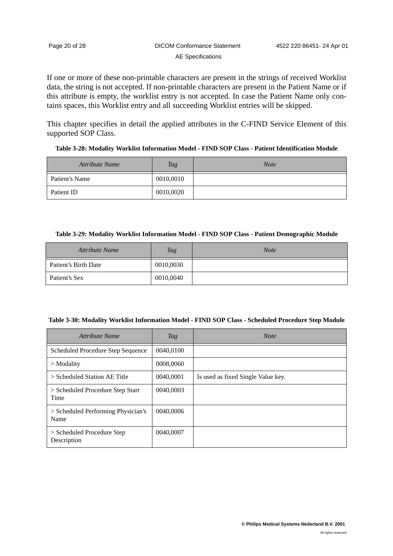If one or more of these non-printable characters are present in the strings of received Worklist data, the string is not accepted. If non-printable characters are present in the Patient Name or if this attribute is empty, the worklist entry is not accepted. In case the Patient Name only contains spaces, this Worklist entry and all succeeding Worklist entries will be skipped.

This chapter specifies in detail the applied attributes in the C-FIND Service Element of this supported SOP Class.

| Table 3-28: Modality Worklist Information Model - FIND SOP Class - Patient Identification Module |  |  |
|--------------------------------------------------------------------------------------------------|--|--|
|                                                                                                  |  |  |

| <b>Attribute Name</b> | <b>Tag</b> | <b>Note</b> |
|-----------------------|------------|-------------|
| Patient's Name        | 0010,0010  |             |
| Patient ID            | 0010,0020  |             |

#### **Table 3-29: Modality Worklist Information Model - FIND SOP Class - Patient Demographic Module**

| <b>Attribute Name</b> | Tag       | <b>Note</b> |
|-----------------------|-----------|-------------|
| Patient's Birth Date  | 0010,0030 |             |
| Patient's Sex         | 0010,0040 |             |

### <span id="page-23-0"></span>**Table 3-30: Modality Worklist Information Model - FIND SOP Class - Scheduled Procedure Step Module**

| Attribute Name                             | Tag       | <b>Note</b>                        |
|--------------------------------------------|-----------|------------------------------------|
| Scheduled Procedure Step Sequence          | 0040,0100 |                                    |
| $>$ Modality                               | 0008,0060 |                                    |
| $>$ Scheduled Station AE Title             | 0040,0001 | Is used as fixed Single Value key. |
| > Scheduled Procedure Step Start<br>Time   | 0040,0003 |                                    |
| > Scheduled Performing Physician's<br>Name | 0040,0006 |                                    |
| > Scheduled Procedure Step<br>Description  | 0040,0007 |                                    |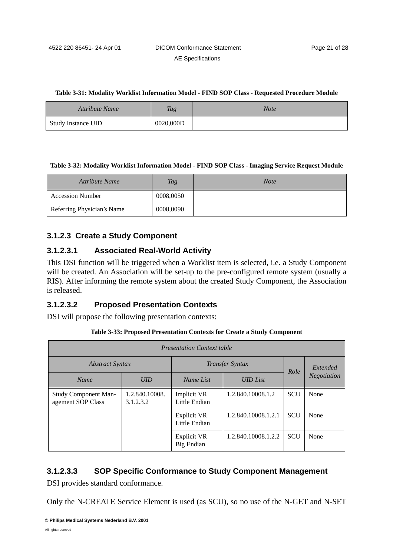#### **Table 3-31: Modality Worklist Information Model - FIND SOP Class - Requested Procedure Module**

| <b>Attribute Name</b>     | Tag       | <b>Note</b> |
|---------------------------|-----------|-------------|
| <b>Study Instance UID</b> | 0020,000D |             |

#### <span id="page-24-1"></span>**Table 3-32: Modality Worklist Information Model - FIND SOP Class - Imaging Service Request Module**

| <b>Attribute Name</b>      | Tag       | <b>Note</b> |
|----------------------------|-----------|-------------|
| <b>Accession Number</b>    | 0008,0050 |             |
| Referring Physician's Name | 0008,0090 |             |

### <span id="page-24-0"></span>**3.1.2.3 Create a Study Component**

### **3.1.2.3.1 Associated Real-World Activity**

This DSI function will be triggered when a Worklist item is selected, i.e. a Study Component will be created. An Association will be set-up to the pre-configured remote system (usually a RIS). After informing the remote system about the created Study Component, the Association is released.

### **3.1.2.3.2 Proposed Presentation Contexts**

DSI will propose the following presentation contexts:

#### **Table 3-33: Proposed Presentation Contexts for Create a Study Component**

| <b>Presentation Context table</b>                |                                                                 |                                         |                     |            |                    |
|--------------------------------------------------|-----------------------------------------------------------------|-----------------------------------------|---------------------|------------|--------------------|
|                                                  | <b>Transfer Syntax</b><br><i><b>Abstract Syntax</b></i><br>Role |                                         | Extended            |            |                    |
| <b>Name</b>                                      | UID                                                             | Name List                               | <b>UID</b> List     |            | <b>Negotiation</b> |
| <b>Study Component Man-</b><br>agement SOP Class | 1.2.840.10008.<br>3.1.2.3.2                                     | <b>Implicit VR</b><br>Little Endian     | 1.2.840.10008.1.2   | <b>SCU</b> | None               |
|                                                  |                                                                 | <b>Explicit VR</b><br>Little Endian     | 1.2.840.10008.1.2.1 | <b>SCU</b> | None               |
|                                                  |                                                                 | <b>Explicit VR</b><br><b>Big Endian</b> | 1.2.840.10008.1.2.2 | <b>SCU</b> | None               |

### **3.1.2.3.3 SOP Specific Conformance to Study Component Management**

DSI provides standard conformance.

Only the N-CREATE Service Element is used (as SCU), so no use of the N-GET and N-SET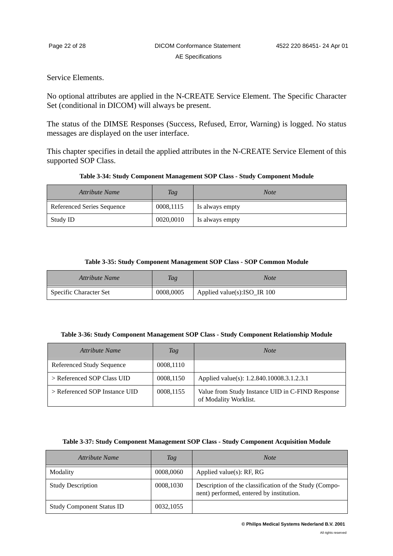Service Elements.

No optional attributes are applied in the N-CREATE Service Element. The Specific Character Set (conditional in DICOM) will always be present.

The status of the DIMSE Responses (Success, Refused, Error, Warning) is logged. No status messages are displayed on the user interface.

This chapter specifies in detail the applied attributes in the N-CREATE Service Element of this supported SOP Class.

| Table 3-34: Study Component Management SOP Class - Study Component Module |  |
|---------------------------------------------------------------------------|--|
|                                                                           |  |

| <b>Attribute Name</b>      | <b>Tag</b> | <b>Note</b>     |
|----------------------------|------------|-----------------|
| Referenced Series Sequence | 0008,1115  | Is always empty |
| Study ID                   | 0020,0010  | Is always empty |

#### **Table 3-35: Study Component Management SOP Class - SOP Common Module**

| <b>Attribute Name</b>         | Tag       | Note                                                     |
|-------------------------------|-----------|----------------------------------------------------------|
| <b>Specific Character Set</b> | 0008,0005 | Applied value(s): $ISO$ <sub>ISO</sub> <sub>IR</sub> 100 |

#### **Table 3-36: Study Component Management SOP Class - Study Component Relationship Module**

| Attribute Name                   | Tag       | <b>Note</b>                                                               |  |
|----------------------------------|-----------|---------------------------------------------------------------------------|--|
| <b>Referenced Study Sequence</b> | 0008,1110 |                                                                           |  |
| > Referenced SOP Class UID       | 0008,1150 | Applied value(s): 1.2.840.10008.3.1.2.3.1                                 |  |
| > Referenced SOP Instance UID    | 0008,1155 | Value from Study Instance UID in C-FIND Response<br>of Modality Worklist. |  |

#### **Table 3-37: Study Component Management SOP Class - Study Component Acquisition Module**

| Attribute Name                   | Tag       | <b>Note</b>                                                                                        |
|----------------------------------|-----------|----------------------------------------------------------------------------------------------------|
| Modality                         | 0008,0060 | Applied value $(s)$ : RF, RG                                                                       |
| <b>Study Description</b>         | 0008,1030 | Description of the classification of the Study (Compo-<br>nent) performed, entered by institution. |
| <b>Study Component Status ID</b> | 0032,1055 |                                                                                                    |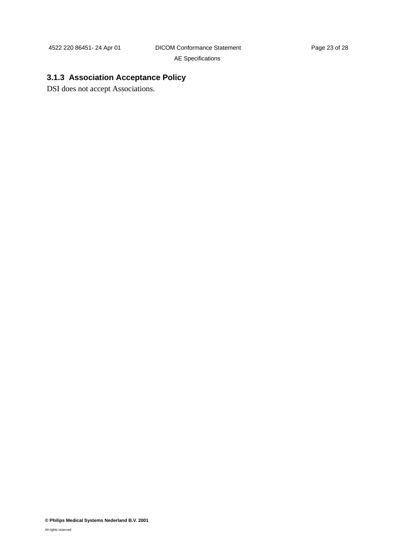# <span id="page-26-0"></span>**3.1.3 Association Acceptance Policy**

DSI does not accept Associations.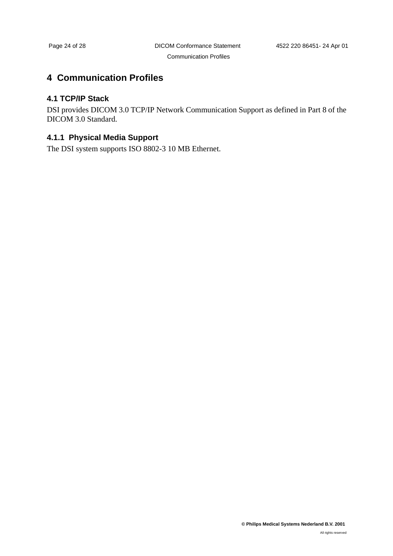# <span id="page-27-0"></span>**4 Communication Profiles**

### <span id="page-27-1"></span>**4.1 TCP/IP Stack**

DSI provides DICOM 3.0 TCP/IP Network Communication Support as defined in Part 8 of the DICOM 3.0 Standard.

### <span id="page-27-2"></span>**4.1.1 Physical Media Support**

The DSI system supports ISO 8802-3 10 MB Ethernet.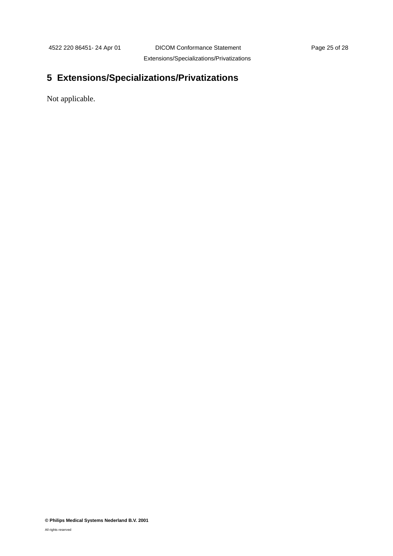# <span id="page-28-0"></span>**5 Extensions/Specializations/Privatizations**

Not applicable.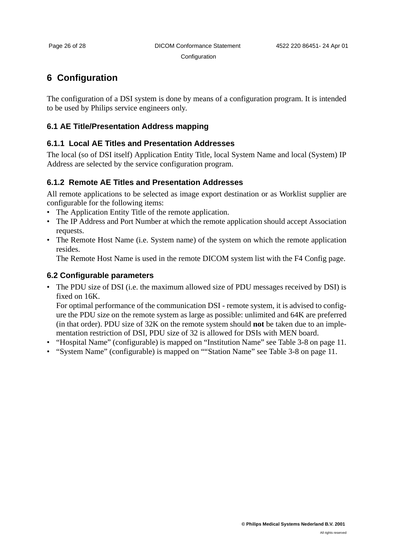**Configuration** 

# <span id="page-29-0"></span>**6 Configuration**

The configuration of a DSI system is done by means of a configuration program. It is intended to be used by Philips service engineers only.

### <span id="page-29-1"></span>**6.1 AE Title/Presentation Address mapping**

### <span id="page-29-2"></span>**6.1.1 Local AE Titles and Presentation Addresses**

The local (so of DSI itself) Application Entity Title, local System Name and local (System) IP Address are selected by the service configuration program.

### <span id="page-29-3"></span>**6.1.2 Remote AE Titles and Presentation Addresses**

All remote applications to be selected as image export destination or as Worklist supplier are configurable for the following items:

- The Application Entity Title of the remote application.
- The IP Address and Port Number at which the remote application should accept Association requests.
- The Remote Host Name (i.e. System name) of the system on which the remote application resides.

The Remote Host Name is used in the remote DICOM system list with the F4 Config page.

### <span id="page-29-4"></span>**6.2 Configurable parameters**

• The PDU size of DSI (i.e. the maximum allowed size of PDU messages received by DSI) is fixed on 16K.

For optimal performance of the communication DSI - remote system, it is advised to configure the PDU size on the remote system as large as possible: unlimited and 64K are preferred (in that order). PDU size of 32K on the remote system should **not** be taken due to an implementation restriction of DSI, PDU size of 32 is allowed for DSIs with MEN board.

- "Hospital Name" (configurable) is mapped on "Institution Name" see [Table 3-8 on page 11](#page-14-0).
- "System Name" (configurable) is mapped on ""Station Name" see [Table 3-8 on page 11.](#page-14-0)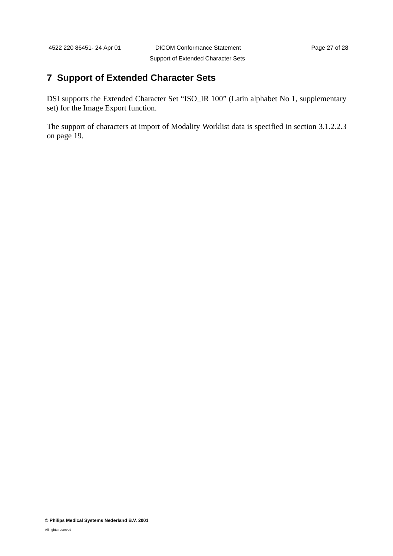# <span id="page-30-0"></span>**7 Support of Extended Character Sets**

DSI supports the Extended Character Set "ISO\_IR 100" (Latin alphabet No 1, supplementary set) for the Image Export function.

The support of characters at import of Modality Worklist data is specified in [section 3.1.2.2.3](#page-22-0) [on page 19.](#page-22-0)